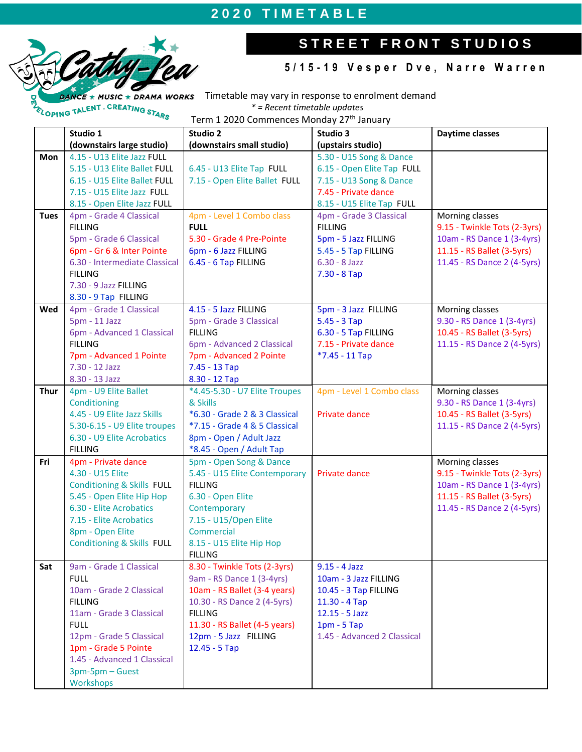# **2 0 2 0 T I M E T A B L E**



ELOPING TALENT . CREATING STARS

# STREET FRONT STUDIOS

### **5 / 1 5 - 1 9 V e s p e r D v e , N a r r e W a r r e n**

 $CE * MUSIC * DRAMA WORK$  Timetable may vary in response to enrolment demand *\* = Recent timetable updates*

Term 1 2020 Commences Monday 27<sup>th</sup> January

|             | Studio 1                              | Studio 2                      | Studio 3                    | Daytime classes              |
|-------------|---------------------------------------|-------------------------------|-----------------------------|------------------------------|
|             | (downstairs large studio)             | (downstairs small studio)     | (upstairs studio)           |                              |
| Mon         | 4.15 - U13 Elite Jazz FULL            |                               | 5.30 - U15 Song & Dance     |                              |
|             | 5.15 - U13 Elite Ballet FULL          | 6.45 - U13 Elite Tap FULL     | 6.15 - Open Elite Tap FULL  |                              |
|             | 6.15 - U15 Elite Ballet FULL          | 7.15 - Open Elite Ballet FULL | 7.15 - U13 Song & Dance     |                              |
|             | 7.15 - U15 Elite Jazz FULL            |                               | 7.45 - Private dance        |                              |
|             | 8.15 - Open Elite Jazz FULL           |                               | 8.15 - U15 Elite Tap FULL   |                              |
| <b>Tues</b> | 4pm - Grade 4 Classical               | 4pm - Level 1 Combo class     | 4pm - Grade 3 Classical     | Morning classes              |
|             | <b>FILLING</b>                        | <b>FULL</b>                   | <b>FILLING</b>              | 9.15 - Twinkle Tots (2-3yrs) |
|             | 5pm - Grade 6 Classical               | 5.30 - Grade 4 Pre-Pointe     | 5pm - 5 Jazz FILLING        | 10am - RS Dance 1 (3-4yrs)   |
|             | 6pm - Gr 6 & Inter Pointe             | 6pm - 6 Jazz FILLING          | 5.45 - 5 Tap FILLING        | 11.15 - RS Ballet (3-5yrs)   |
|             | 6.30 - Intermediate Classical         | 6.45 - 6 Tap FILLING          | $6.30 - 8$ Jazz             | 11.45 - RS Dance 2 (4-5yrs)  |
|             | <b>FILLING</b>                        |                               | $7.30 - 8$ Tap              |                              |
|             | 7.30 - 9 Jazz FILLING                 |                               |                             |                              |
|             |                                       |                               |                             |                              |
|             | 8.30 - 9 Tap FILLING                  |                               |                             |                              |
| Wed         | 4pm - Grade 1 Classical               | 4.15 - 5 Jazz FILLING         | 5pm - 3 Jazz FILLING        | Morning classes              |
|             | 5pm - 11 Jazz                         | 5pm - Grade 3 Classical       | $5.45 - 3$ Tap              | 9.30 - RS Dance 1 (3-4yrs)   |
|             | 6pm - Advanced 1 Classical            | <b>FILLING</b>                | 6.30 - 5 Tap FILLING        | 10.45 - RS Ballet (3-5yrs)   |
|             | <b>FILLING</b>                        | 6pm - Advanced 2 Classical    | 7.15 - Private dance        | 11.15 - RS Dance 2 (4-5yrs)  |
|             | 7pm - Advanced 1 Pointe               | 7pm - Advanced 2 Pointe       | $*7.45 - 11$ Tap            |                              |
|             | 7.30 - 12 Jazz                        | 7.45 - 13 Tap                 |                             |                              |
|             | 8.30 - 13 Jazz                        | 8.30 - 12 Тар                 |                             |                              |
| <b>Thur</b> | 4pm - U9 Elite Ballet                 | *4.45-5.30 - U7 Elite Troupes | 4pm - Level 1 Combo class   | Morning classes              |
|             | Conditioning                          | & Skills                      |                             | 9.30 - RS Dance 1 (3-4yrs)   |
|             | 4.45 - U9 Elite Jazz Skills           | *6.30 - Grade 2 & 3 Classical | Private dance               | 10.45 - RS Ballet (3-5yrs)   |
|             | 5.30-6.15 - U9 Elite troupes          | *7.15 - Grade 4 & 5 Classical |                             | 11.15 - RS Dance 2 (4-5yrs)  |
|             | 6.30 - U9 Elite Acrobatics            | 8pm - Open / Adult Jazz       |                             |                              |
|             | <b>FILLING</b>                        | *8.45 - Open / Adult Tap      |                             |                              |
| Fri         | 4pm - Private dance                   | 5pm - Open Song & Dance       |                             | Morning classes              |
|             | 4.30 - U15 Elite                      | 5.45 - U15 Elite Contemporary | Private dance               | 9.15 - Twinkle Tots (2-3yrs) |
|             | <b>Conditioning &amp; Skills FULL</b> | <b>FILLING</b>                |                             | 10am - RS Dance 1 (3-4yrs)   |
|             | 5.45 - Open Elite Hip Hop             | 6.30 - Open Elite             |                             | 11.15 - RS Ballet (3-5yrs)   |
|             | 6.30 - Elite Acrobatics               | Contemporary                  |                             | 11.45 - RS Dance 2 (4-5yrs)  |
|             | 7.15 - Elite Acrobatics               | 7.15 - U15/Open Elite         |                             |                              |
|             | 8pm - Open Elite                      | Commercial                    |                             |                              |
|             | <b>Conditioning &amp; Skills FULL</b> | 8.15 - U15 Elite Hip Hop      |                             |                              |
|             |                                       | <b>FILLING</b>                |                             |                              |
| Sat         | 9am - Grade 1 Classical               | 8.30 - Twinkle Tots (2-3yrs)  | $9.15 - 4$ Jazz             |                              |
|             | <b>FULL</b>                           | 9am - RS Dance 1 (3-4yrs)     | 10am - 3 Jazz FILLING       |                              |
|             | 10am - Grade 2 Classical              | 10am - RS Ballet (3-4 years)  | 10.45 - 3 Tap FILLING       |                              |
|             | <b>FILLING</b>                        | 10.30 - RS Dance 2 (4-5yrs)   | 11.30 - 4 Tap               |                              |
|             | 11am - Grade 3 Classical              | <b>FILLING</b>                | $12.15 - 5$ Jazz            |                              |
|             | <b>FULL</b>                           | 11.30 - RS Ballet (4-5 years) | $1pm - 5Tap$                |                              |
|             | 12pm - Grade 5 Classical              | 12pm - 5 Jazz FILLING         | 1.45 - Advanced 2 Classical |                              |
|             | 1pm - Grade 5 Pointe                  | 12.45 - 5 Tap                 |                             |                              |
|             | 1.45 - Advanced 1 Classical           |                               |                             |                              |
|             | 3pm-5pm - Guest                       |                               |                             |                              |
|             | Workshops                             |                               |                             |                              |
|             |                                       |                               |                             |                              |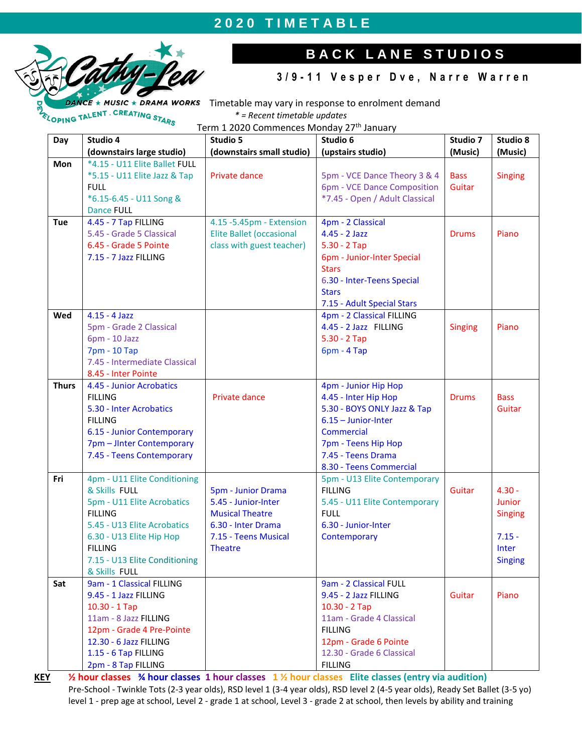### **2 0 2 0 T I M E T A B L E**



## **B A C K L A N E S T U D I O S**

#### **3 / 9 - 1 1 V e s p e r D v e , N a r r e W a r r e n**

Timetable may vary in response to enrolment demand *\* = Recent timetable updates*

Term 1 2020 Commences Monday 27<sup>th</sup> January

| Day          | Studio 4                                                                                                                                                                                                                     | Studio 5                                                                                                                                   | Studio 6                                                                                                                                                                                   | Studio 7              | Studio 8                                                                    |
|--------------|------------------------------------------------------------------------------------------------------------------------------------------------------------------------------------------------------------------------------|--------------------------------------------------------------------------------------------------------------------------------------------|--------------------------------------------------------------------------------------------------------------------------------------------------------------------------------------------|-----------------------|-----------------------------------------------------------------------------|
|              | (downstairs large studio)                                                                                                                                                                                                    | (downstairs small studio)                                                                                                                  | (upstairs studio)                                                                                                                                                                          | (Music)               | (Music)                                                                     |
| <b>Mon</b>   | *4.15 - U11 Elite Ballet FULL<br>*5.15 - U11 Elite Jazz & Tap<br><b>FULL</b><br>*6.15-6.45 - U11 Song &<br><b>Dance FULL</b>                                                                                                 | Private dance                                                                                                                              | 5pm - VCE Dance Theory 3 & 4<br>6pm - VCE Dance Composition<br>*7.45 - Open / Adult Classical                                                                                              | <b>Bass</b><br>Guitar | <b>Singing</b>                                                              |
| Tue          | 4.45 - 7 Tap FILLING<br>5.45 - Grade 5 Classical<br>6.45 - Grade 5 Pointe<br>7.15 - 7 Jazz FILLING                                                                                                                           | 4.15 - 5.45pm - Extension<br><b>Elite Ballet (occasional</b><br>class with guest teacher)                                                  | 4pm - 2 Classical<br>4.45 - 2 Jazz<br>$5.30 - 2$ Tap<br>6pm - Junior-Inter Special<br><b>Stars</b><br>6.30 - Inter-Teens Special<br><b>Stars</b><br>7.15 - Adult Special Stars             | <b>Drums</b>          | Piano                                                                       |
| Wed          | $4.15 - 4$ Jazz<br>5pm - Grade 2 Classical<br>6pm - 10 Jazz<br>7pm - 10 Tap<br>7.45 - Intermediate Classical<br>8.45 - Inter Pointe                                                                                          |                                                                                                                                            | 4pm - 2 Classical FILLING<br>4.45 - 2 Jazz FILLING<br>$5.30 - 2$ Tap<br>$6pm - 4Tap$                                                                                                       | <b>Singing</b>        | Piano                                                                       |
| <b>Thurs</b> | 4.45 - Junior Acrobatics<br><b>FILLING</b><br>5.30 - Inter Acrobatics<br><b>FILLING</b><br>6.15 - Junior Contemporary<br>7pm - Jinter Contemporary<br>7.45 - Teens Contemporary                                              | Private dance                                                                                                                              | 4pm - Junior Hip Hop<br>4.45 - Inter Hip Hop<br>5.30 - BOYS ONLY Jazz & Tap<br>$6.15 -$ Junior-Inter<br>Commercial<br>7pm - Teens Hip Hop<br>7.45 - Teens Drama<br>8.30 - Teens Commercial | <b>Drums</b>          | <b>Bass</b><br>Guitar                                                       |
| Fri          | 4pm - U11 Elite Conditioning<br>& Skills FULL<br>5pm - U11 Elite Acrobatics<br><b>FILLING</b><br>5.45 - U13 Elite Acrobatics<br>6.30 - U13 Elite Hip Hop<br><b>FILLING</b><br>7.15 - U13 Elite Conditioning<br>& Skills FULL | <b>5pm - Junior Drama</b><br>5.45 - Junior-Inter<br><b>Musical Theatre</b><br>6.30 - Inter Drama<br>7.15 - Teens Musical<br><b>Theatre</b> | 5pm - U13 Elite Contemporary<br><b>FILLING</b><br>5.45 - U11 Elite Contemporary<br><b>FULL</b><br>6.30 - Junior-Inter<br>Contemporary                                                      | Guitar                | $4.30 -$<br>Junior<br><b>Singing</b><br>$7.15 -$<br>Inter<br><b>Singing</b> |
| Sat          | 9am - 1 Classical FILLING<br>9.45 - 1 Jazz FILLING<br>$10.30 - 1$ Tap<br>11am - 8 Jazz FILLING<br>12pm - Grade 4 Pre-Pointe<br>12.30 - 6 Jazz FILLING<br>1.15 - 6 Tap FILLING<br>2pm - 8 Tap FILLING                         |                                                                                                                                            | 9am - 2 Classical FULL<br>9.45 - 2 Jazz FILLING<br>$10.30 - 2$ Tap<br>11am - Grade 4 Classical<br><b>FILLING</b><br>12pm - Grade 6 Pointe<br>12.30 - Grade 6 Classical<br><b>FILLING</b>   | Guitar                | Piano                                                                       |

**KEY ½ hour classes ¾ hour classes 1 hour classes 1 ½ hour classes Elite classes (entry via audition)** Pre-School - Twinkle Tots (2-3 year olds), RSD level 1 (3-4 year olds), RSD level 2 (4-5 year olds), Ready Set Ballet (3-5 yo) level 1 - prep age at school, Level 2 - grade 1 at school, Level 3 - grade 2 at school, then levels by ability and training